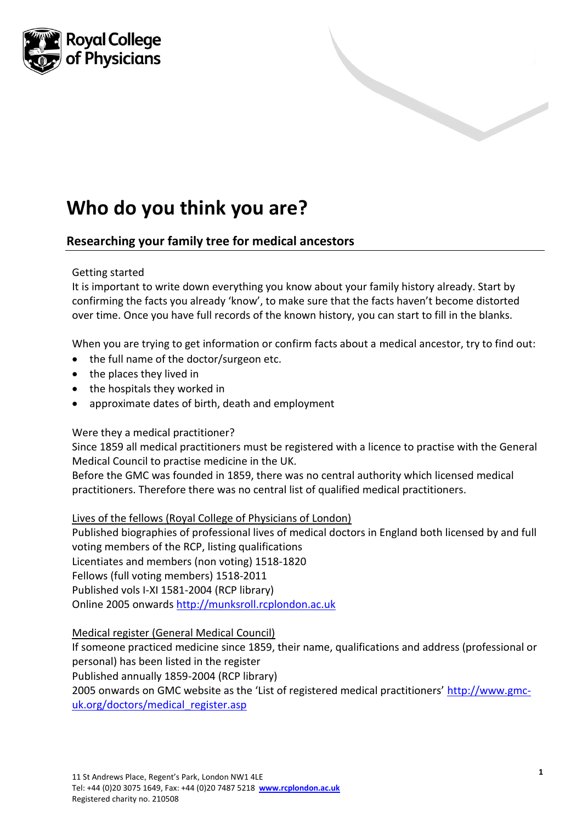

# **Who do you think you are?**

# **Researching your family tree for medical ancestors**

#### Getting started

It is important to write down everything you know about your family history already. Start by confirming the facts you already 'know', to make sure that the facts haven't become distorted over time. Once you have full records of the known history, you can start to fill in the blanks.

When you are trying to get information or confirm facts about a medical ancestor, try to find out:

- the full name of the doctor/surgeon etc.
- the places they lived in
- the hospitals they worked in
- approximate dates of birth, death and employment

#### Were they a medical practitioner?

Since 1859 all medical practitioners must be registered with a licence to practise with the General Medical Council to practise medicine in the UK.

Before the GMC was founded in 1859, there was no central authority which licensed medical practitioners. Therefore there was no central list of qualified medical practitioners.

#### Lives of the fellows (Royal College of Physicians of London)

Published biographies of professional lives of medical doctors in England both licensed by and full voting members of the RCP, listing qualifications Licentiates and members (non voting) 1518-1820 Fellows (full voting members) 1518-2011 Published vols I-XI 1581-2004 (RCP library) Online 2005 onwards [http://munksroll.rcplondon.ac.uk](http://munksroll.rcplondon.ac.uk/)

#### Medical register (General Medical Council)

If someone practiced medicine since 1859, their name, qualifications and address (professional or personal) has been listed in the register

Published annually 1859-2004 (RCP library)

2005 onwards on GMC website as the 'List of registered medical practitioners' [http://www.gmc](http://www.gmc-uk.org/doctors/medical_register.asp)[uk.org/doctors/medical\\_register.asp](http://www.gmc-uk.org/doctors/medical_register.asp)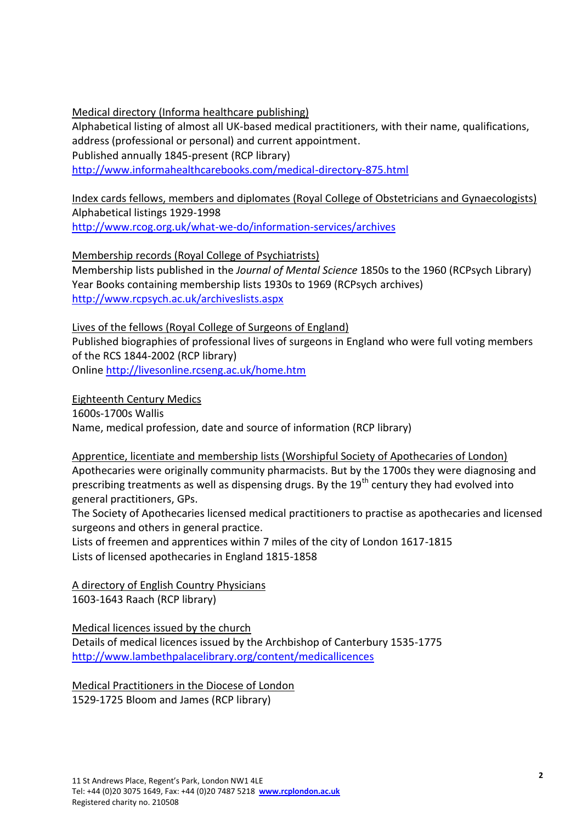Medical directory (Informa healthcare publishing)

Alphabetical listing of almost all UK-based medical practitioners, with their name, qualifications, address (professional or personal) and current appointment. Published annually 1845-present (RCP library)

<http://www.informahealthcarebooks.com/medical-directory-875.html>

Index cards fellows, members and diplomates (Royal College of Obstetricians and Gynaecologists) Alphabetical listings 1929-1998 <http://www.rcog.org.uk/what-we-do/information-services/archives>

Membership records (Royal College of Psychiatrists)

Membership lists published in the *Journal of Mental Science* 1850s to the 1960 (RCPsych Library) Year Books containing membership lists 1930s to 1969 (RCPsych archives) <http://www.rcpsych.ac.uk/archiveslists.aspx>

Lives of the fellows (Royal College of Surgeons of England) Published biographies of professional lives of surgeons in England who were full voting members of the RCS 1844-2002 (RCP library) Online<http://livesonline.rcseng.ac.uk/home.htm>

Eighteenth Century Medics 1600s-1700s Wallis

Name, medical profession, date and source of information (RCP library)

Apprentice, licentiate and membership lists (Worshipful Society of Apothecaries of London) Apothecaries were originally community pharmacists. But by the 1700s they were diagnosing and prescribing treatments as well as dispensing drugs. By the  $19<sup>th</sup>$  century they had evolved into general practitioners, GPs.

The Society of Apothecaries licensed medical practitioners to practise as apothecaries and licensed surgeons and others in general practice.

Lists of freemen and apprentices within 7 miles of the city of London 1617-1815 Lists of licensed apothecaries in England 1815-1858

A directory of English Country Physicians 1603-1643 Raach (RCP library)

Medical licences issued by the church Details of medical licences issued by the Archbishop of Canterbury 1535-1775 <http://www.lambethpalacelibrary.org/content/medicallicences>

Medical Practitioners in the Diocese of London 1529-1725 Bloom and James (RCP library)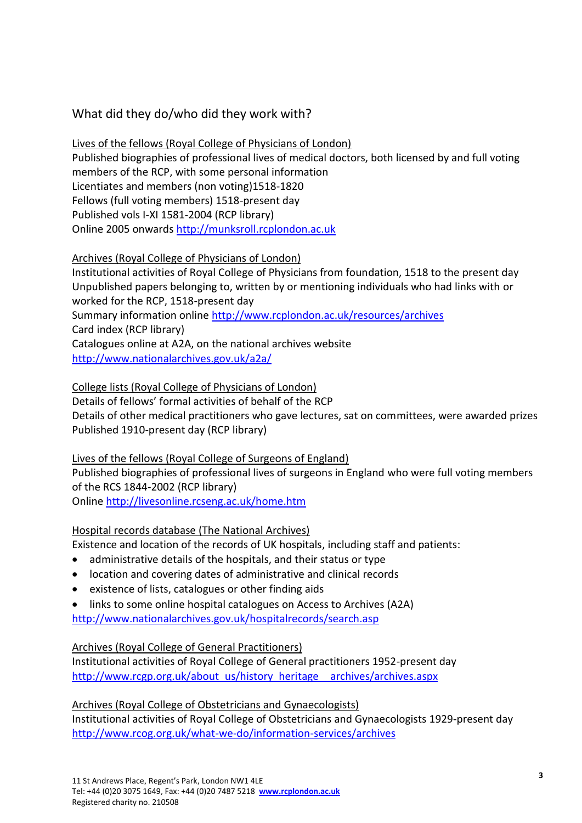# What did they do/who did they work with?

# Lives of the fellows (Royal College of Physicians of London)

Published biographies of professional lives of medical doctors, both licensed by and full voting members of the RCP, with some personal information Licentiates and members (non voting)1518-1820 Fellows (full voting members) 1518-present day Published vols I-XI 1581-2004 (RCP library) Online 2005 onwards [http://munksroll.rcplondon.ac.uk](http://munksroll.rcplondon.ac.uk/)

# Archives (Royal College of Physicians of London)

Institutional activities of Royal College of Physicians from foundation, 1518 to the present day Unpublished papers belonging to, written by or mentioning individuals who had links with or worked for the RCP, 1518-present day Summary information online<http://www.rcplondon.ac.uk/resources/archives> Card index (RCP library) Catalogues online at A2A, on the national archives website <http://www.nationalarchives.gov.uk/a2a/>

# College lists (Royal College of Physicians of London)

Details of fellows' formal activities of behalf of the RCP Details of other medical practitioners who gave lectures, sat on committees, were awarded prizes Published 1910-present day (RCP library)

Lives of the fellows (Royal College of Surgeons of England) Published biographies of professional lives of surgeons in England who were full voting members of the RCS 1844-2002 (RCP library) Online<http://livesonline.rcseng.ac.uk/home.htm>

#### Hospital records database (The National Archives)

Existence and location of the records of UK hospitals, including staff and patients:

- administrative details of the hospitals, and their status or type
- location and covering dates of administrative and clinical records
- existence of lists, catalogues or other finding aids
- links to some online hospital catalogues on Access to Archives (A2A) <http://www.nationalarchives.gov.uk/hospitalrecords/search.asp>

#### Archives (Royal College of General Practitioners)

Institutional activities of Royal College of General practitioners 1952-present day [http://www.rcgp.org.uk/about\\_us/history\\_heritage\\_\\_archives/archives.aspx](http://www.rcgp.org.uk/about_us/history_heritage__archives/archives.aspx)

# Archives (Royal College of Obstetricians and Gynaecologists)

Institutional activities of Royal College of Obstetricians and Gynaecologists 1929-present day <http://www.rcog.org.uk/what-we-do/information-services/archives>